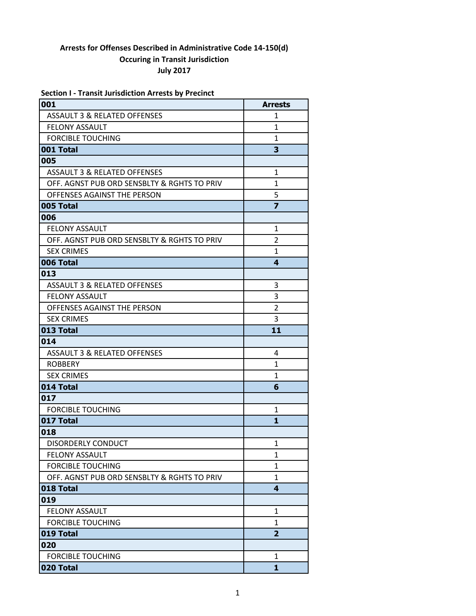| <b>Section I - Transit Jurisdiction Arrests by Precinct</b> |                |
|-------------------------------------------------------------|----------------|
| 001                                                         | <b>Arrests</b> |
| <b>ASSAULT 3 &amp; RELATED OFFENSES</b>                     | 1              |
| <b>FELONY ASSAULT</b>                                       | 1              |
| <b>FORCIBLE TOUCHING</b>                                    | 1              |
| 001 Total                                                   | 3              |
| 005                                                         |                |
| <b>ASSAULT 3 &amp; RELATED OFFENSES</b>                     | $\mathbf{1}$   |
| OFF. AGNST PUB ORD SENSBLTY & RGHTS TO PRIV                 | 1              |
| OFFENSES AGAINST THE PERSON                                 | 5              |
| 005 Total                                                   | $\overline{z}$ |
| 006                                                         |                |
| <b>FELONY ASSAULT</b>                                       | $\mathbf{1}$   |
| OFF. AGNST PUB ORD SENSBLTY & RGHTS TO PRIV                 | 2              |
| <b>SEX CRIMES</b>                                           | $\mathbf{1}$   |
| 006 Total                                                   | 4              |
| 013                                                         |                |
| <b>ASSAULT 3 &amp; RELATED OFFENSES</b>                     | 3              |
| <b>FELONY ASSAULT</b>                                       | 3              |
| OFFENSES AGAINST THE PERSON                                 | $\overline{2}$ |
| <b>SEX CRIMES</b>                                           | 3              |
| 013 Total                                                   | 11             |
| 014                                                         |                |
| <b>ASSAULT 3 &amp; RELATED OFFENSES</b>                     | 4              |
| <b>ROBBERY</b>                                              | 1              |
| <b>SEX CRIMES</b>                                           | 1              |
| 014 Total                                                   | 6              |
| 017                                                         |                |
| <b>FORCIBLE TOUCHING</b>                                    | 1              |
| 017 Total                                                   | $\mathbf{1}$   |
| 018                                                         |                |
| <b>DISORDERLY CONDUCT</b>                                   | $\mathbf{1}$   |
| <b>FELONY ASSAULT</b>                                       | $\mathbf{1}$   |
| <b>FORCIBLE TOUCHING</b>                                    | $\mathbf{1}$   |
| OFF. AGNST PUB ORD SENSBLTY & RGHTS TO PRIV                 | 1              |
| 018 Total                                                   | 4              |
| 019                                                         |                |
| <b>FELONY ASSAULT</b>                                       | 1              |
| <b>FORCIBLE TOUCHING</b>                                    | $\mathbf{1}$   |
| 019 Total                                                   | $\overline{2}$ |
| 020                                                         |                |
| <b>FORCIBLE TOUCHING</b>                                    | 1              |
| 020 Total                                                   | 1              |

**020 Total 1**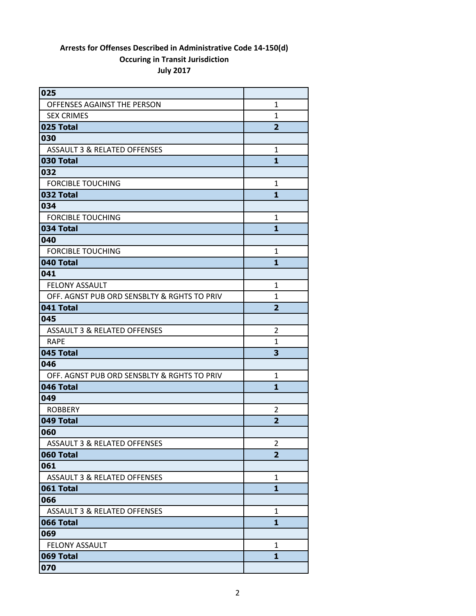| 025                                         |                |
|---------------------------------------------|----------------|
| OFFENSES AGAINST THE PERSON                 | $\mathbf{1}$   |
| <b>SEX CRIMES</b>                           | $\mathbf{1}$   |
| 025 Total                                   | $\overline{2}$ |
| 030                                         |                |
| ASSAULT 3 & RELATED OFFENSES                | $\mathbf{1}$   |
| 030 Total                                   | 1              |
| 032                                         |                |
| <b>FORCIBLE TOUCHING</b>                    | $\mathbf{1}$   |
| 032 Total                                   | 1              |
| 034                                         |                |
| <b>FORCIBLE TOUCHING</b>                    | 1              |
| 034 Total                                   | 1              |
| 040                                         |                |
| <b>FORCIBLE TOUCHING</b>                    | 1              |
| 040 Total                                   | $\mathbf{1}$   |
| 041                                         |                |
| <b>FELONY ASSAULT</b>                       | 1              |
| OFF. AGNST PUB ORD SENSBLTY & RGHTS TO PRIV | $\mathbf{1}$   |
| 041 Total                                   | $\overline{2}$ |
| 045                                         |                |
| <b>ASSAULT 3 &amp; RELATED OFFENSES</b>     | $\overline{2}$ |
| <b>RAPE</b>                                 | $\mathbf{1}$   |
| 045 Total                                   | 3              |
| 046                                         |                |
| OFF. AGNST PUB ORD SENSBLTY & RGHTS TO PRIV | 1              |
| 046 Total                                   | 1              |
| 049                                         |                |
| <b>ROBBERY</b>                              | 2              |
| 049 Total                                   | $\overline{2}$ |
| 060                                         |                |
| <b>ASSAULT 3 &amp; RELATED OFFENSES</b>     | $\overline{2}$ |
| 060 Total                                   | $\overline{2}$ |
| 061                                         |                |
| <b>ASSAULT 3 &amp; RELATED OFFENSES</b>     | $\mathbf{1}$   |
| 061 Total                                   | 1              |
| 066                                         |                |
| <b>ASSAULT 3 &amp; RELATED OFFENSES</b>     | 1              |
| 066 Total                                   | 1              |
| 069                                         |                |
| <b>FELONY ASSAULT</b>                       | 1              |
| 069 Total                                   | 1              |
| 070                                         |                |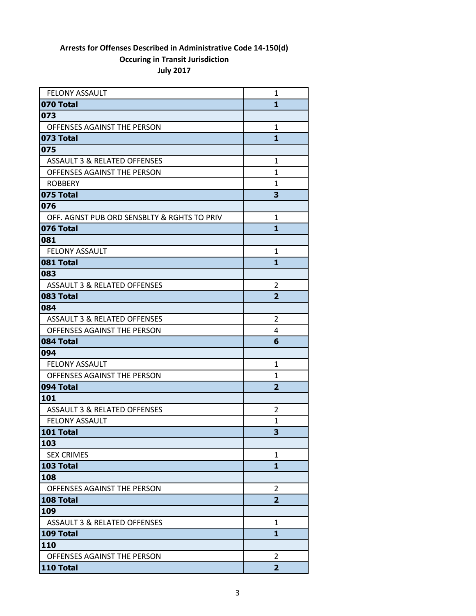| <b>FELONY ASSAULT</b>                       | 1              |
|---------------------------------------------|----------------|
| 070 Total                                   | 1              |
| 073                                         |                |
| OFFENSES AGAINST THE PERSON                 | 1              |
| 073 Total                                   | $\mathbf{1}$   |
| 075                                         |                |
| <b>ASSAULT 3 &amp; RELATED OFFENSES</b>     | $\mathbf{1}$   |
| OFFENSES AGAINST THE PERSON                 | $\mathbf{1}$   |
| <b>ROBBERY</b>                              | $\mathbf{1}$   |
| 075 Total                                   | 3              |
| 076                                         |                |
| OFF. AGNST PUB ORD SENSBLTY & RGHTS TO PRIV | $\mathbf{1}$   |
| 076 Total                                   | 1              |
| 081                                         |                |
| <b>FELONY ASSAULT</b>                       | 1              |
| 081 Total                                   | 1              |
| 083                                         |                |
| <b>ASSAULT 3 &amp; RELATED OFFENSES</b>     | 2              |
| 083 Total                                   | $\overline{2}$ |
| 084                                         |                |
| <b>ASSAULT 3 &amp; RELATED OFFENSES</b>     | $\overline{2}$ |
| OFFENSES AGAINST THE PERSON                 | 4              |
| 084 Total                                   | 6              |
| 094                                         |                |
| <b>FELONY ASSAULT</b>                       | $\mathbf{1}$   |
| OFFENSES AGAINST THE PERSON                 | 1              |
| 094 Total                                   | $\overline{2}$ |
| 101                                         |                |
| <b>ASSAULT 3 &amp; RELATED OFFENSES</b>     | 2              |
| <b>FELONY ASSAULT</b>                       | 1              |
| 101 Total                                   | 3              |
| 103                                         |                |
| <b>SEX CRIMES</b>                           | 1              |
| 103 Total                                   | 1              |
| 108                                         |                |
| OFFENSES AGAINST THE PERSON                 | 2              |
| 108 Total                                   | $\overline{2}$ |
| 109                                         |                |
| <b>ASSAULT 3 &amp; RELATED OFFENSES</b>     | 1              |
| 109 Total                                   | 1              |
| 110                                         |                |
| OFFENSES AGAINST THE PERSON                 | $\overline{2}$ |
| 110 Total                                   | $\overline{2}$ |